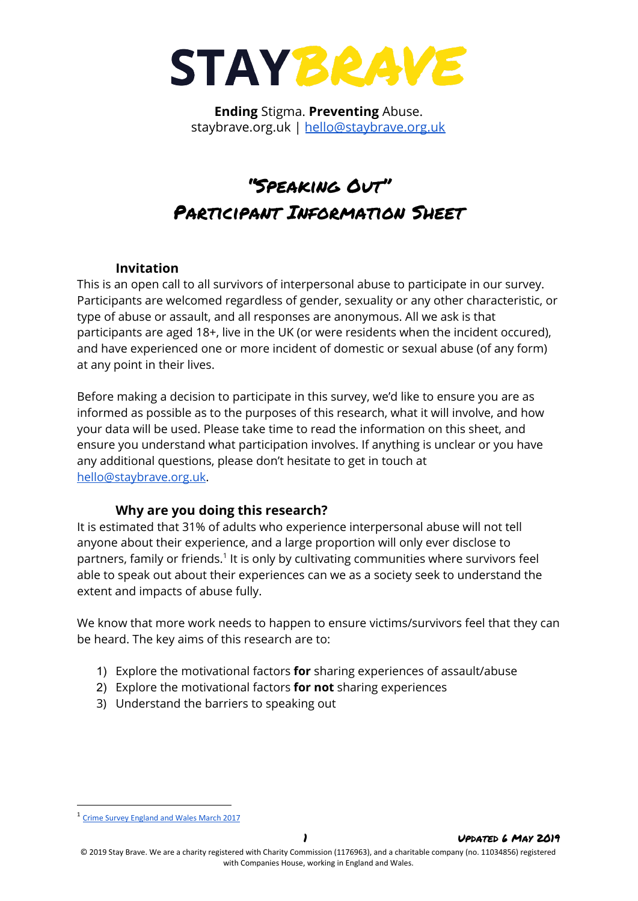

**Ending** Stigma. **Preventing** Abuse. staybrave.org.uk | [hello@staybrave.org.uk](mailto:hello@staybrave.org.uk)

# "Speaking Out" Participant Information Sheet

## **Invitation**

This is an open call to all survivors of interpersonal abuse to participate in our survey. Participants are welcomed regardless of gender, sexuality or any other characteristic, or type of abuse or assault, and all responses are anonymous. All we ask is that participants are aged 18+, live in the UK (or were residents when the incident occured), and have experienced one or more incident of domestic or sexual abuse (of any form) at any point in their lives.

Before making a decision to participate in this survey, we'd like to ensure you are as informed as possible as to the purposes of this research, what it will involve, and how your data will be used. Please take time to read the information on this sheet, and ensure you understand what participation involves. If anything is unclear or you have any additional questions, please don't hesitate to get in touch at [hello@staybrave.org.uk](mailto:hello@staybrave.org.uk).

# **Why are you doing this research?**

It is estimated that 31% of adults who experience interpersonal abuse will not tell anyone about their experience, and a large proportion will only ever disclose to partners, family or friends.<sup>1</sup> It is only by cultivating communities where survivors feel able to speak out about their experiences can we as a society seek to understand the extent and impacts of abuse fully.

We know that more work needs to happen to ensure victims/survivors feel that they can be heard. The key aims of this research are to:

- 1) Explore the motivational factors **for** sharing experiences of assault/abuse
- 2) Explore the motivational factors **for not** sharing experiences
- 3) Understand the barriers to speaking out

<sup>1</sup> Crime Survey [England](https://www.ons.gov.uk/peoplepopulationandcommunity/crimeandjustice/articles/sexualoffencesinenglandandwales/yearendingmarch2017#reporting-of-sexual-assault-by-rape-or-penetration) and Wales March 2017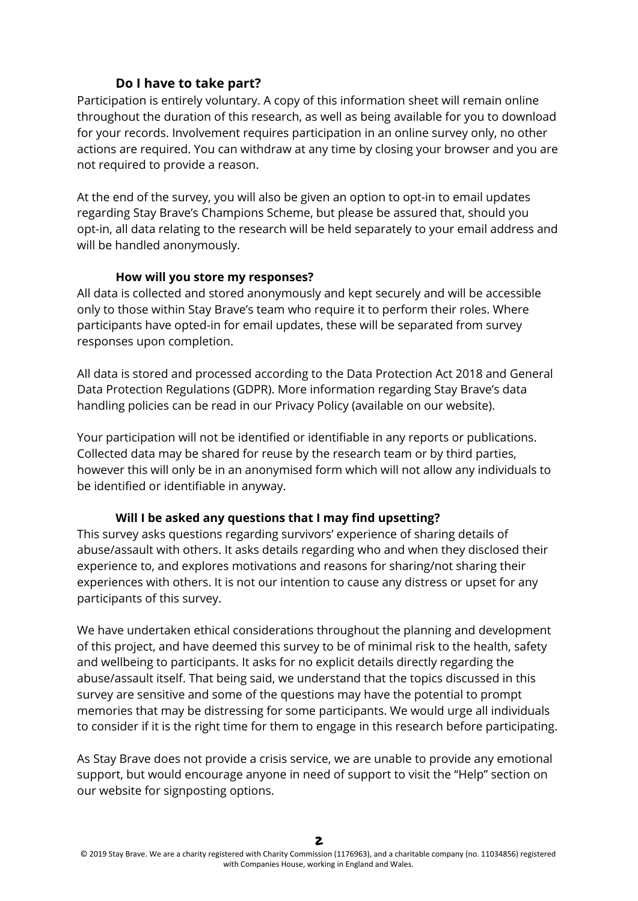# **Do I have to take part?**

Participation is entirely voluntary. A copy of this information sheet will remain online throughout the duration of this research, as well as being available for you to download for your records. Involvement requires participation in an online survey only, no other actions are required. You can withdraw at any time by closing your browser and you are not required to provide a reason.

At the end of the survey, you will also be given an option to opt-in to email updates regarding Stay Brave's Champions Scheme, but please be assured that, should you opt-in, all data relating to the research will be held separately to your email address and will be handled anonymously.

## **How will you store my responses?**

All data is collected and stored anonymously and kept securely and will be accessible only to those within Stay Brave's team who require it to perform their roles. Where participants have opted-in for email updates, these will be separated from survey responses upon completion.

All data is stored and processed according to the Data Protection Act 2018 and General Data Protection Regulations (GDPR). More information regarding Stay Brave's data handling policies can be read in our Privacy Policy (available on our website).

Your participation will not be identified or identifiable in any reports or publications. Collected data may be shared for reuse by the research team or by third parties, however this will only be in an anonymised form which will not allow any individuals to be identified or identifiable in anyway.

# **Will I be asked any questions that I may find upsetting?**

This survey asks questions regarding survivors' experience of sharing details of abuse/assault with others. It asks details regarding who and when they disclosed their experience to, and explores motivations and reasons for sharing/not sharing their experiences with others. It is not our intention to cause any distress or upset for any participants of this survey.

We have undertaken ethical considerations throughout the planning and development of this project, and have deemed this survey to be of minimal risk to the health, safety and wellbeing to participants. It asks for no explicit details directly regarding the abuse/assault itself. That being said, we understand that the topics discussed in this survey are sensitive and some of the questions may have the potential to prompt memories that may be distressing for some participants. We would urge all individuals to consider if it is the right time for them to engage in this research before participating.

As Stay Brave does not provide a crisis service, we are unable to provide any emotional support, but would encourage anyone in need of support to visit the "Help" section on our website for signposting options.